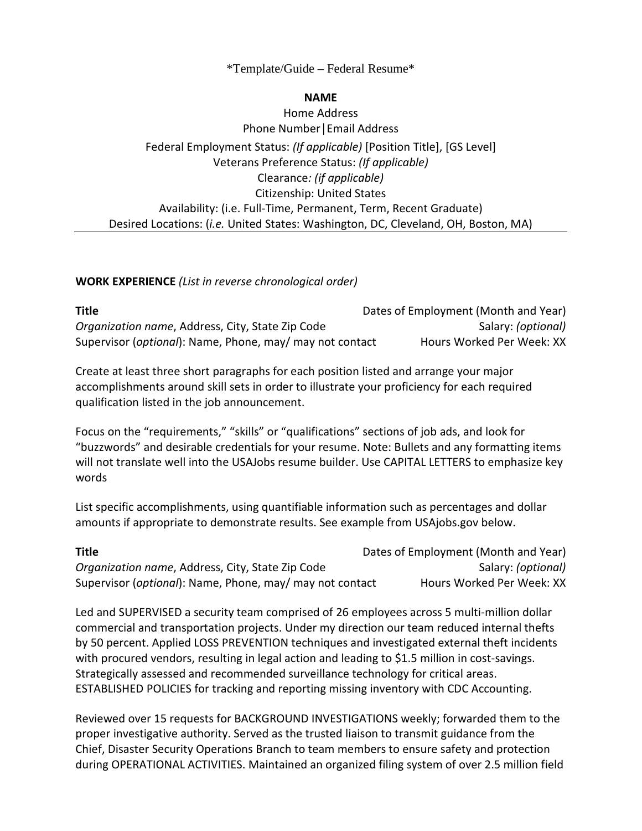# \*Template/Guide – Federal Resume\*

### **NAME**

Home Address Phone Number│Email Address Federal Employment Status: *(If applicable)* [Position Title], [GS Level] Veterans Preference Status: *(If applicable)* Clearance*: (if applicable)* Citizenship: United States Availability: (i.e. Full-Time, Permanent, Term, Recent Graduate) Desired Locations: (*i.e.* United States: Washington, DC, Cleveland, OH, Boston, MA)

### **WORK EXPERIENCE** *(List in reverse chronological order)*

| <b>Title</b>                                                      | Dates of Employment (Month and Year) |
|-------------------------------------------------------------------|--------------------------------------|
| Organization name, Address, City, State Zip Code                  | Salary: <i>(optional)</i>            |
| Supervisor ( <i>optional</i> ): Name, Phone, may/ may not contact | Hours Worked Per Week: XX            |

Create at least three short paragraphs for each position listed and arrange your major accomplishments around skill sets in order to illustrate your proficiency for each required qualification listed in the job announcement.

Focus on the "requirements," "skills" or "qualifications" sections of job ads, and look for "buzzwords" and desirable credentials for your resume. Note: Bullets and any formatting items will not translate well into the USAJobs resume builder. Use CAPITAL LETTERS to emphasize key words

List specific accomplishments, using quantifiable information such as percentages and dollar amounts if appropriate to demonstrate results. See example from USAjobs.gov below.

| <b>Title</b>                                                      | Dates of Employment (Month and Year) |
|-------------------------------------------------------------------|--------------------------------------|
| <i>Organization name, Address, City, State Zip Code</i>           | Salary: <i>(optional)</i>            |
| Supervisor ( <i>optional</i> ): Name, Phone, may/ may not contact | Hours Worked Per Week: XX            |

Led and SUPERVISED a security team comprised of 26 employees across 5 multi-million dollar commercial and transportation projects. Under my direction our team reduced internal thefts by 50 percent. Applied LOSS PREVENTION techniques and investigated external theft incidents with procured vendors, resulting in legal action and leading to \$1.5 million in cost-savings. Strategically assessed and recommended surveillance technology for critical areas. ESTABLISHED POLICIES for tracking and reporting missing inventory with CDC Accounting.

Reviewed over 15 requests for BACKGROUND INVESTIGATIONS weekly; forwarded them to the proper investigative authority. Served as the trusted liaison to transmit guidance from the Chief, Disaster Security Operations Branch to team members to ensure safety and protection during OPERATIONAL ACTIVITIES. Maintained an organized filing system of over 2.5 million field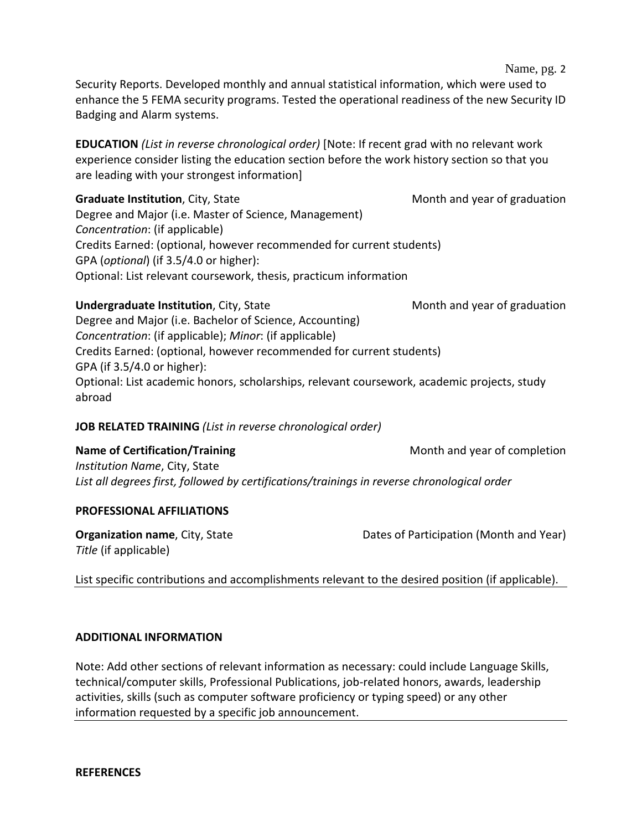Security Reports. Developed monthly and annual statistical information, which were used to enhance the 5 FEMA security programs. Tested the operational readiness of the new Security ID Badging and Alarm systems.

**EDUCATION** *(List in reverse chronological order)* [Note: If recent grad with no relevant work experience consider listing the education section before the work history section so that you are leading with your strongest information]

**Graduate Institution**, City, State Month and year of graduation Degree and Major (i.e. Master of Science, Management) *Concentration*: (if applicable) Credits Earned: (optional, however recommended for current students) GPA (*optional*) (if 3.5/4.0 or higher): Optional: List relevant coursework, thesis, practicum information

## **Undergraduate Institution**, City, State Month and year of graduation

Degree and Major (i.e. Bachelor of Science, Accounting) *Concentration*: (if applicable); *Minor*: (if applicable) Credits Earned: (optional, however recommended for current students) GPA (if 3.5/4.0 or higher): Optional: List academic honors, scholarships, relevant coursework, academic projects, study abroad

## **JOB RELATED TRAINING** *(List in reverse chronological order)*

**Name of Certification/Training Training Month and year of completion** 

*Institution Name*, City, State *List all degrees first, followed by certifications/trainings in reverse chronological order*

## **PROFESSIONAL AFFILIATIONS**

*Title* (if applicable)

**Organization name**, City, State **Dates of Participation (Month and Year)** Dates of Participation (Month and Year)

List specific contributions and accomplishments relevant to the desired position (if applicable).

### **ADDITIONAL INFORMATION**

Note: Add other sections of relevant information as necessary: could include Language Skills, technical/computer skills, Professional Publications, job-related honors, awards, leadership activities, skills (such as computer software proficiency or typing speed) or any other information requested by a specific job announcement.